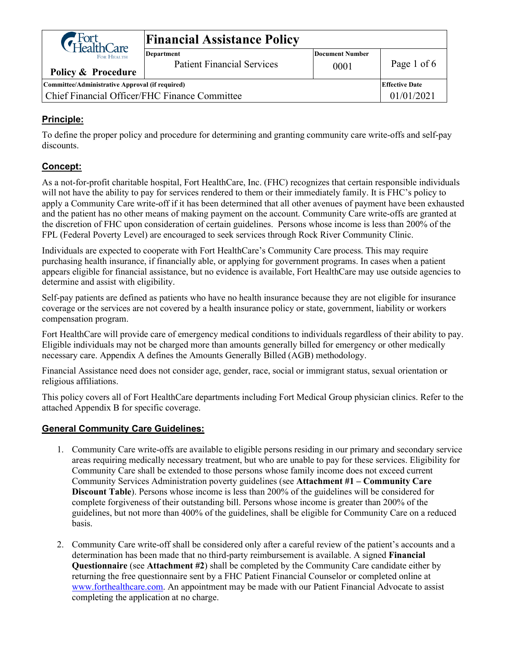| G Fort<br>HealthCare                            | <b>Financial Assistance Policy</b>                     |                                |                       |  |  |
|-------------------------------------------------|--------------------------------------------------------|--------------------------------|-----------------------|--|--|
| FOR HEALTH.<br>Policy & Procedure               | <b>Department</b><br><b>Patient Financial Services</b> | <b>Document Number</b><br>0001 | Page 1 of 6           |  |  |
| Committee/Administrative Approval (if required) |                                                        |                                | <b>Effective Date</b> |  |  |
| Chief Financial Officer/FHC Finance Committee   |                                                        |                                | 01/01/2021            |  |  |

### **Principle:**

To define the proper policy and procedure for determining and granting community care write-offs and self-pay discounts.

### **Concept:**

As a not-for-profit charitable hospital, Fort HealthCare, Inc. (FHC) recognizes that certain responsible individuals will not have the ability to pay for services rendered to them or their immediately family. It is FHC's policy to apply a Community Care write-off if it has been determined that all other avenues of payment have been exhausted and the patient has no other means of making payment on the account. Community Care write-offs are granted at the discretion of FHC upon consideration of certain guidelines. Persons whose income is less than 200% of the FPL (Federal Poverty Level) are encouraged to seek services through Rock River Community Clinic.

Individuals are expected to cooperate with Fort HealthCare's Community Care process. This may require purchasing health insurance, if financially able, or applying for government programs. In cases when a patient appears eligible for financial assistance, but no evidence is available, Fort HealthCare may use outside agencies to determine and assist with eligibility.

Self-pay patients are defined as patients who have no health insurance because they are not eligible for insurance coverage or the services are not covered by a health insurance policy or state, government, liability or workers compensation program.

Fort HealthCare will provide care of emergency medical conditions to individuals regardless of their ability to pay. Eligible individuals may not be charged more than amounts generally billed for emergency or other medically necessary care. Appendix A defines the Amounts Generally Billed (AGB) methodology.

Financial Assistance need does not consider age, gender, race, social or immigrant status, sexual orientation or religious affiliations.

This policy covers all of Fort HealthCare departments including Fort Medical Group physician clinics. Refer to the attached Appendix B for specific coverage.

#### **General Community Care Guidelines:**

- 1. Community Care write-offs are available to eligible persons residing in our primary and secondary service areas requiring medically necessary treatment, but who are unable to pay for these services. Eligibility for Community Care shall be extended to those persons whose family income does not exceed current Community Services Administration poverty guidelines (see **Attachment #1 – Community Care Discount Table**). Persons whose income is less than 200% of the guidelines will be considered for complete forgiveness of their outstanding bill. Persons whose income is greater than 200% of the guidelines, but not more than 400% of the guidelines, shall be eligible for Community Care on a reduced basis.
- 2. Community Care write-off shall be considered only after a careful review of the patient's accounts and a determination has been made that no third-party reimbursement is available. A signed **Financial Questionnaire** (see **Attachment #2**) shall be completed by the Community Care candidate either by returning the free questionnaire sent by a FHC Patient Financial Counselor or completed online at [www.forthealthcare.com.](http://www.forthealthcare.com/) An appointment may be made with our Patient Financial Advocate to assist completing the application at no charge.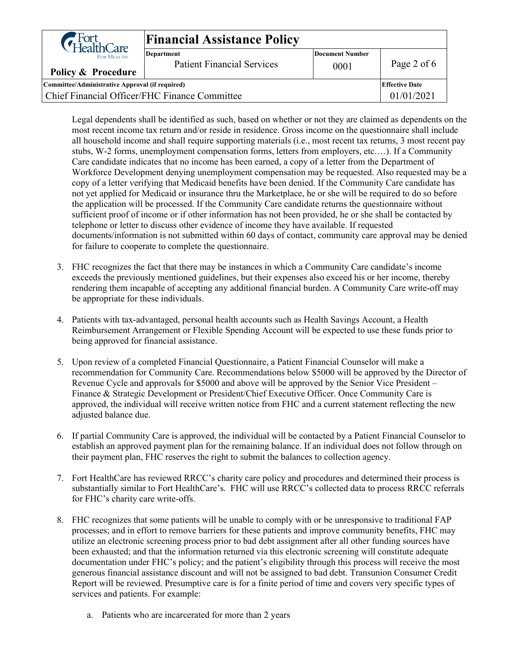| G Fort<br>HealthCare                            | <b>Financial Assistance Policy</b>                     |                         |                       |  |  |
|-------------------------------------------------|--------------------------------------------------------|-------------------------|-----------------------|--|--|
| FOR HEALTH.<br>Policy & Procedure               | <b>Department</b><br><b>Patient Financial Services</b> | Document Number<br>0001 | Page 2 of 6           |  |  |
| Committee/Administrative Approval (if required) |                                                        |                         | <b>Effective Date</b> |  |  |
| Chief Financial Officer/FHC Finance Committee   |                                                        |                         | 01/01/2021            |  |  |

Legal dependents shall be identified as such, based on whether or not they are claimed as dependents on the most recent income tax return and/or reside in residence. Gross income on the questionnaire shall include all household income and shall require supporting materials (i.e., most recent tax returns, 3 most recent pay stubs, W-2 forms, unemployment compensation forms, letters from employers, etc.…). If a Community Care candidate indicates that no income has been earned, a copy of a letter from the Department of Workforce Development denying unemployment compensation may be requested. Also requested may be a copy of a letter verifying that Medicaid benefits have been denied. If the Community Care candidate has not yet applied for Medicaid or insurance thru the Marketplace, he or she will be required to do so before the application will be processed. If the Community Care candidate returns the questionnaire without sufficient proof of income or if other information has not been provided, he or she shall be contacted by telephone or letter to discuss other evidence of income they have available. If requested documents/information is not submitted within 60 days of contact, community care approval may be denied for failure to cooperate to complete the questionnaire.

- 3. FHC recognizes the fact that there may be instances in which a Community Care candidate's income exceeds the previously mentioned guidelines, but their expenses also exceed his or her income, thereby rendering them incapable of accepting any additional financial burden. A Community Care write-off may be appropriate for these individuals.
- 4. Patients with tax-advantaged, personal health accounts such as Health Savings Account, a Health Reimbursement Arrangement or Flexible Spending Account will be expected to use these funds prior to being approved for financial assistance.
- 5. Upon review of a completed Financial Questionnaire, a Patient Financial Counselor will make a recommendation for Community Care. Recommendations below \$5000 will be approved by the Director of Revenue Cycle and approvals for \$5000 and above will be approved by the Senior Vice President – Finance & Strategic Development or President/Chief Executive Officer. Once Community Care is approved, the individual will receive written notice from FHC and a current statement reflecting the new adjusted balance due.
- 6. If partial Community Care is approved, the individual will be contacted by a Patient Financial Counselor to establish an approved payment plan for the remaining balance. If an individual does not follow through on their payment plan, FHC reserves the right to submit the balances to collection agency.
- 7. Fort HealthCare has reviewed RRCC's charity care policy and procedures and determined their process is substantially similar to Fort HealthCare's. FHC will use RRCC's collected data to process RRCC referrals for FHC's charity care write-offs.
- 8. FHC recognizes that some patients will be unable to comply with or be unresponsive to traditional FAP processes; and in effort to remove barriers for these patients and improve community benefits, FHC may utilize an electronic screening process prior to bad debt assignment after all other funding sources have been exhausted; and that the information returned via this electronic screening will constitute adequate documentation under FHC's policy; and the patient's eligibility through this process will receive the most generous financial assistance discount and will not be assigned to bad debt. Transunion Consumer Credit Report will be reviewed. Presumptive care is for a finite period of time and covers very specific types of services and patients. For example:
	- a. Patients who are incarcerated for more than 2 years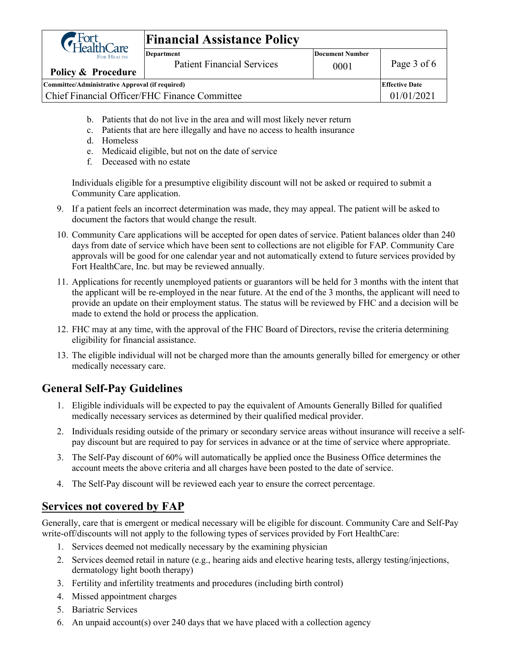| G Fort<br>GHealthCare                           | <b>Financial Assistance Policy</b> |                        |                       |  |  |
|-------------------------------------------------|------------------------------------|------------------------|-----------------------|--|--|
| FOR HEALTH.                                     | <b>Department</b>                  | <b>Document Number</b> |                       |  |  |
|                                                 | <b>Patient Financial Services</b>  | 0001                   | Page 3 of 6           |  |  |
| Policy & Procedure                              |                                    |                        |                       |  |  |
| Committee/Administrative Approval (if required) |                                    |                        | <b>Effective Date</b> |  |  |
| Chief Financial Officer/FHC Finance Committee   |                                    |                        | 01/01/2021            |  |  |
|                                                 |                                    |                        |                       |  |  |

- b. Patients that do not live in the area and will most likely never return
- c. Patients that are here illegally and have no access to health insurance
- d. Homeless
- e. Medicaid eligible, but not on the date of service
- f. Deceased with no estate

Individuals eligible for a presumptive eligibility discount will not be asked or required to submit a Community Care application.

- 9. If a patient feels an incorrect determination was made, they may appeal. The patient will be asked to document the factors that would change the result.
- 10. Community Care applications will be accepted for open dates of service. Patient balances older than 240 days from date of service which have been sent to collections are not eligible for FAP. Community Care approvals will be good for one calendar year and not automatically extend to future services provided by Fort HealthCare, Inc. but may be reviewed annually.
- 11. Applications for recently unemployed patients or guarantors will be held for 3 months with the intent that the applicant will be re-employed in the near future. At the end of the 3 months, the applicant will need to provide an update on their employment status. The status will be reviewed by FHC and a decision will be made to extend the hold or process the application.
- 12. FHC may at any time, with the approval of the FHC Board of Directors, revise the criteria determining eligibility for financial assistance.
- 13. The eligible individual will not be charged more than the amounts generally billed for emergency or other medically necessary care.

## **General Self-Pay Guidelines**

- 1. Eligible individuals will be expected to pay the equivalent of Amounts Generally Billed for qualified medically necessary services as determined by their qualified medical provider.
- 2. Individuals residing outside of the primary or secondary service areas without insurance will receive a selfpay discount but are required to pay for services in advance or at the time of service where appropriate.
- 3. The Self-Pay discount of 60% will automatically be applied once the Business Office determines the account meets the above criteria and all charges have been posted to the date of service.
- 4. The Self-Pay discount will be reviewed each year to ensure the correct percentage.

### **Services not covered by FAP**

Generally, care that is emergent or medical necessary will be eligible for discount. Community Care and Self-Pay write-off/discounts will not apply to the following types of services provided by Fort HealthCare:

- 1. Services deemed not medically necessary by the examining physician
- 2. Services deemed retail in nature (e.g., hearing aids and elective hearing tests, allergy testing/injections, dermatology light booth therapy)
- 3. Fertility and infertility treatments and procedures (including birth control)
- 4. Missed appointment charges
- 5. Bariatric Services
- 6. An unpaid account(s) over 240 days that we have placed with a collection agency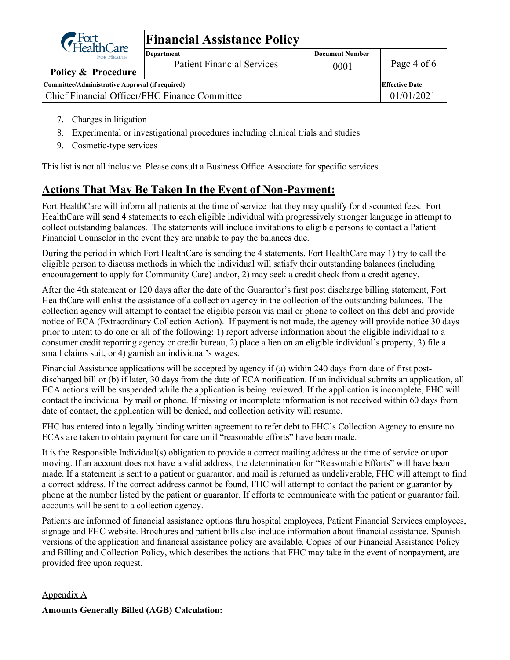| G Fort<br>GHealthCare                           | <b>Financial Assistance Policy</b>                     |                                |                       |  |  |
|-------------------------------------------------|--------------------------------------------------------|--------------------------------|-----------------------|--|--|
| FOR HEALTH.<br>Policy & Procedure               | <b>Department</b><br><b>Patient Financial Services</b> | <b>Document Number</b><br>0001 | Page 4 of 6           |  |  |
| Committee/Administrative Approval (if required) |                                                        |                                | <b>Effective Date</b> |  |  |
| Chief Financial Officer/FHC Finance Committee   |                                                        |                                | 01/01/2021            |  |  |
|                                                 |                                                        |                                |                       |  |  |

- 7. Charges in litigation
- 8. Experimental or investigational procedures including clinical trials and studies
- 9. Cosmetic-type services

This list is not all inclusive. Please consult a Business Office Associate for specific services.

## **Actions That May Be Taken In the Event of Non-Payment:**

Fort HealthCare will inform all patients at the time of service that they may qualify for discounted fees. Fort HealthCare will send 4 statements to each eligible individual with progressively stronger language in attempt to collect outstanding balances. The statements will include invitations to eligible persons to contact a Patient Financial Counselor in the event they are unable to pay the balances due.

During the period in which Fort HealthCare is sending the 4 statements, Fort HealthCare may 1) try to call the eligible person to discuss methods in which the individual will satisfy their outstanding balances (including encouragement to apply for Community Care) and/or, 2) may seek a credit check from a credit agency.

After the 4th statement or 120 days after the date of the Guarantor's first post discharge billing statement, Fort HealthCare will enlist the assistance of a collection agency in the collection of the outstanding balances. The collection agency will attempt to contact the eligible person via mail or phone to collect on this debt and provide notice of ECA (Extraordinary Collection Action). If payment is not made, the agency will provide notice 30 days prior to intent to do one or all of the following: 1) report adverse information about the eligible individual to a consumer credit reporting agency or credit bureau, 2) place a lien on an eligible individual's property, 3) file a small claims suit, or 4) garnish an individual's wages.

Financial Assistance applications will be accepted by agency if (a) within 240 days from date of first postdischarged bill or (b) if later, 30 days from the date of ECA notification. If an individual submits an application, all ECA actions will be suspended while the application is being reviewed. If the application is incomplete, FHC will contact the individual by mail or phone. If missing or incomplete information is not received within 60 days from date of contact, the application will be denied, and collection activity will resume.

FHC has entered into a legally binding written agreement to refer debt to FHC's Collection Agency to ensure no ECAs are taken to obtain payment for care until "reasonable efforts" have been made.

It is the Responsible Individual(s) obligation to provide a correct mailing address at the time of service or upon moving. If an account does not have a valid address, the determination for "Reasonable Efforts" will have been made. If a statement is sent to a patient or guarantor, and mail is returned as undeliverable, FHC will attempt to find a correct address. If the correct address cannot be found, FHC will attempt to contact the patient or guarantor by phone at the number listed by the patient or guarantor. If efforts to communicate with the patient or guarantor fail, accounts will be sent to a collection agency.

Patients are informed of financial assistance options thru hospital employees, Patient Financial Services employees, signage and FHC website. Brochures and patient bills also include information about financial assistance. Spanish versions of the application and financial assistance policy are available. Copies of our Financial Assistance Policy and Billing and Collection Policy, which describes the actions that FHC may take in the event of nonpayment, are provided free upon request.

#### Appendix A

#### **Amounts Generally Billed (AGB) Calculation:**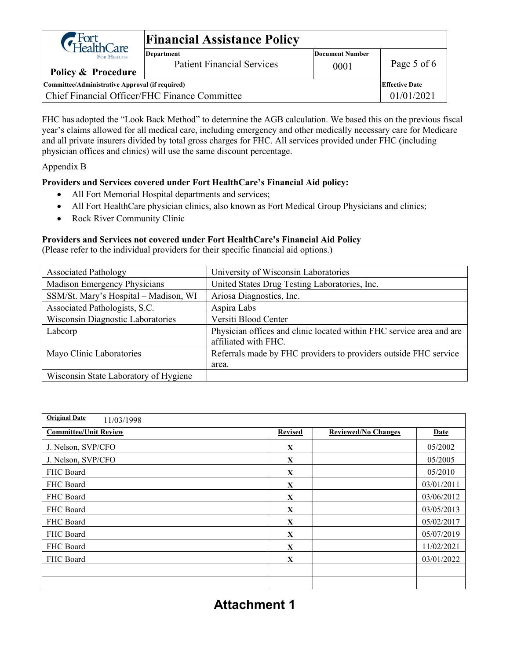| Fort<br>HealthCare                              | <b>Financial Assistance Policy</b>                     |                                |                       |  |  |
|-------------------------------------------------|--------------------------------------------------------|--------------------------------|-----------------------|--|--|
| FOR HEALTH.<br>Policy & Procedure               | <b>Department</b><br><b>Patient Financial Services</b> | <b>Document Number</b><br>0001 | Page 5 of 6           |  |  |
| Committee/Administrative Approval (if required) |                                                        |                                | <b>Effective Date</b> |  |  |
| Chief Financial Officer/FHC Finance Committee   |                                                        |                                | 01/01/2021            |  |  |

FHC has adopted the "Look Back Method" to determine the AGB calculation. We based this on the previous fiscal year's claims allowed for all medical care, including emergency and other medically necessary care for Medicare and all private insurers divided by total gross charges for FHC. All services provided under FHC (including physician offices and clinics) will use the same discount percentage.

#### Appendix B

#### **Providers and Services covered under Fort HealthCare's Financial Aid policy:**

- All Fort Memorial Hospital departments and services;
- All Fort HealthCare physician clinics, also known as Fort Medical Group Physicians and clinics;
- Rock River Community Clinic

#### **Providers and Services not covered under Fort HealthCare's Financial Aid Policy**

(Please refer to the individual providers for their specific financial aid options.)

| <b>Associated Pathology</b>           | University of Wisconsin Laboratories                                                         |
|---------------------------------------|----------------------------------------------------------------------------------------------|
| Madison Emergency Physicians          | United States Drug Testing Laboratories, Inc.                                                |
| SSM/St. Mary's Hospital - Madison, WI | Ariosa Diagnostics, Inc.                                                                     |
| Associated Pathologists, S.C.         | Aspira Labs                                                                                  |
| Wisconsin Diagnostic Laboratories     | Versiti Blood Center                                                                         |
| Labcorp                               | Physician offices and clinic located within FHC service area and are<br>affiliated with FHC. |
| Mayo Clinic Laboratories              | Referrals made by FHC providers to providers outside FHC service                             |
|                                       | area.                                                                                        |
| Wisconsin State Laboratory of Hygiene |                                                                                              |

| <b>Original Date</b><br>11/03/1998 |                |                            |             |
|------------------------------------|----------------|----------------------------|-------------|
| <b>Committee/Unit Review</b>       | <b>Revised</b> | <b>Reviewed/No Changes</b> | <b>Date</b> |
| J. Nelson, SVP/CFO                 | X              |                            | 05/2002     |
| J. Nelson, SVP/CFO                 | X              |                            | 05/2005     |
| FHC Board                          | X              |                            | 05/2010     |
| FHC Board                          | X              |                            | 03/01/2011  |
| FHC Board                          | X              |                            | 03/06/2012  |
| FHC Board                          | X              |                            | 03/05/2013  |
| FHC Board                          | X              |                            | 05/02/2017  |
| FHC Board                          | X              |                            | 05/07/2019  |
| FHC Board                          | X              |                            | 11/02/2021  |
| FHC Board                          | $\mathbf{X}$   |                            | 03/01/2022  |
|                                    |                |                            |             |
|                                    |                |                            |             |

# **Attachment 1**